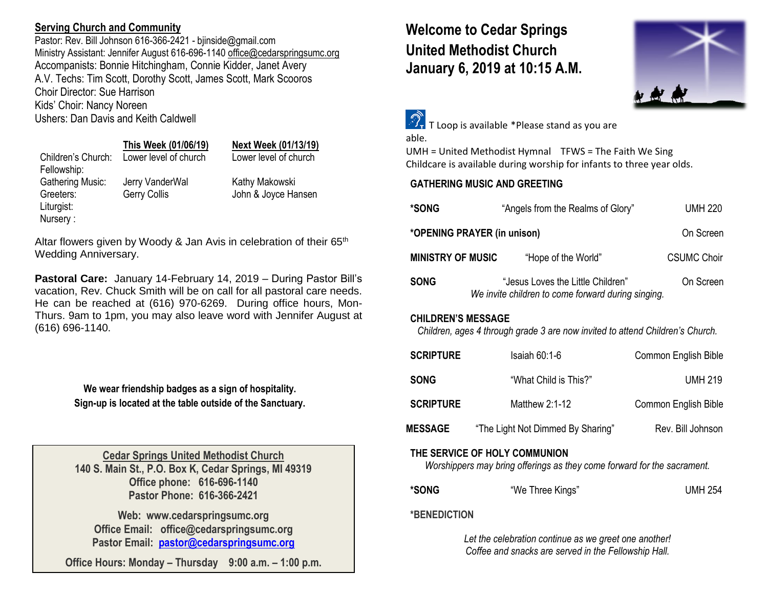## **Serving Church and Community**

Pastor: Rev. Bill Johnson 616-366-2421 - biinside@gmail.com Ministry Assistant: Jennifer August 616-696-1140 [office@cedarspringsumc.org](mailto:office@cedarspringsumc.org) Accompanists: Bonnie Hitchingham, Connie Kidder, Janet Avery A.V. Techs: Tim Scott, Dorothy Scott, James Scott, Mark Scooros Choir Director: Sue Harrison Kids' Choir: Nancy Noreen Ushers: Dan Davis and Keith Caldwell

## **This Week (01/06/19) Next Week (01/13/19)**

Children's Church: Lower level of church Lower level of church Fellowship: Gathering Music: Jerry VanderWal Kathy Makowski Liturgist: Nursery :

Greeters: Gerry Collis John & Joyce Hansen

Altar flowers given by Woody & Jan Avis in celebration of their 65<sup>th</sup> Wedding Anniversary.

**Pastoral Care:** January 14-February 14, 2019 – During Pastor Bill's vacation, Rev. Chuck Smith will be on call for all pastoral care needs. He can be reached at (616) 970-6269. During office hours, Mon-Thurs. 9am to 1pm, you may also leave word with Jennifer August at (616) 696-1140.

> **We wear friendship badges as a sign of hospitality. Sign-up is located at the table outside of the Sanctuary.**

**Cedar Springs United Methodist Church 140 S. Main St., P.O. Box K, Cedar Springs, MI 49319 Office phone: 616-696-1140 Pastor Phone: 616-366-2421**

**Web: www.cedarspringsumc.org Office Email: office@cedarspringsumc.org Pastor Email: [pastor@cedarspringsumc.org](mailto:pastor@cedarspringsumc.org)**

**Office Hours: Monday – Thursday 9:00 a.m. – 1:00 p.m.**

# **Welcome to Cedar Springs United Methodist Church January 6, 2019 at 10:15 A.M.**



 $\mathcal{F}_{\mathbf{r}}$  T Loop is available \*Please stand as you are

able.

UMH = United Methodist Hymnal TFWS = The Faith We Sing Childcare is available during worship for infants to three year olds.

### **GATHERING MUSIC AND GREETING**

| *SONG                       |                                                                                         | "Angels from the Realms of Glory" | <b>UMH 220</b>     |  |  |
|-----------------------------|-----------------------------------------------------------------------------------------|-----------------------------------|--------------------|--|--|
| *OPENING PRAYER (in unison) |                                                                                         |                                   | On Screen          |  |  |
| <b>MINISTRY OF MUSIC</b>    |                                                                                         | "Hope of the World"               | <b>CSUMC Choir</b> |  |  |
| <b>SONG</b>                 | "Jesus Loves the Little Children"<br>We invite children to come forward during singing. |                                   | On Screen          |  |  |
| АЦІІ ВВЕМІС МЕССААЕ         |                                                                                         |                                   |                    |  |  |

### **CHILDREN'S MESSAGE**

*Children, ages 4 through grade 3 are now invited to attend Children's Church.*

| <b>SCRIPTURE</b>                                                                                         | Isaiah 60:1-6                     | Common English Bible |  |  |  |
|----------------------------------------------------------------------------------------------------------|-----------------------------------|----------------------|--|--|--|
| <b>SONG</b>                                                                                              | "What Child is This?"             | <b>UMH 219</b>       |  |  |  |
| <b>SCRIPTURE</b>                                                                                         | Matthew $2:1-12$                  | Common English Bible |  |  |  |
| <b>MESSAGE</b>                                                                                           | "The Light Not Dimmed By Sharing" | Rev. Bill Johnson    |  |  |  |
| THE SERVICE OF HOLY COMMUNION<br>Worshippers may bring offerings as they come forward for the sacrament. |                                   |                      |  |  |  |
| *SONG                                                                                                    | "We Three Kings"                  | <b>UMH 254</b>       |  |  |  |
| *BENIERIATIANI                                                                                           |                                   |                      |  |  |  |

### **\*BENEDICTION**

*Let the celebration continue as we greet one another! Coffee and snacks are served in the Fellowship Hall.*